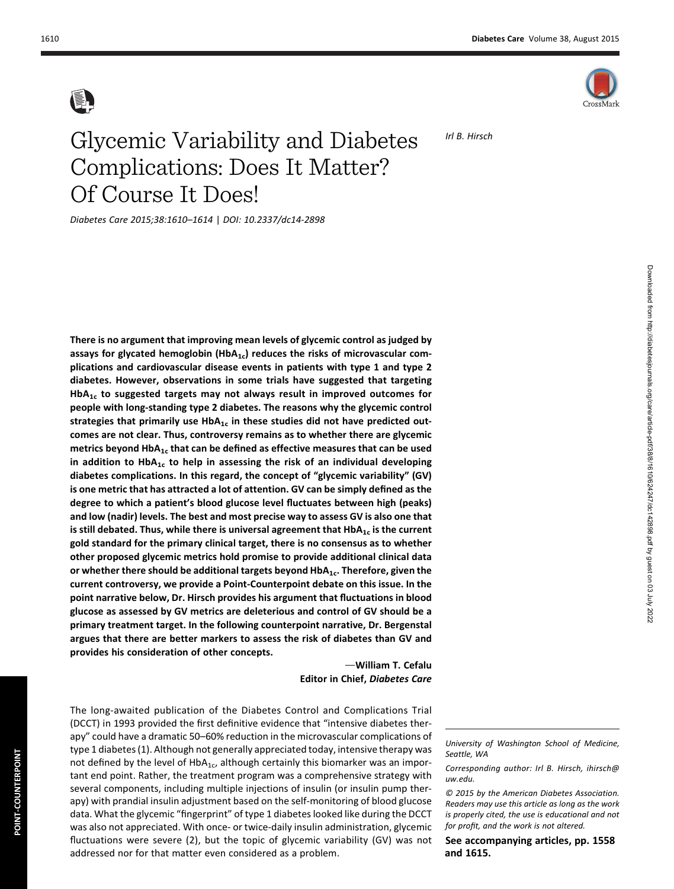

Irl B. Hirsch

## Glycemic Variability and Diabetes Complications: Does It Matter? Of Course It Does!

Diabetes Care 2015;38:1610–1614 | DOI: 10.2337/dc14-2898

There is no argument that improving mean levels of glycemic control as judged by assays for glycated hemoglobin (Hb $A_{1c}$ ) reduces the risks of microvascular complications and cardiovascular disease events in patients with type 1 and type 2 diabetes. However, observations in some trials have suggested that targeting  $HbA<sub>1c</sub>$  to suggested targets may not always result in improved outcomes for people with long-standing type 2 diabetes. The reasons why the glycemic control strategies that primarily use  $HbA_{1c}$  in these studies did not have predicted outcomes are not clear. Thus, controversy remains as to whether there are glycemic metrics beyond HbA<sub>1c</sub> that can be defined as effective measures that can be used in addition to HbA<sub>1c</sub> to help in assessing the risk of an individual developing diabetes complications. In this regard, the concept of "glycemic variability" (GV) is one metric that has attracted a lot of attention. GV can be simply defined as the degree to which a patient's blood glucose level fluctuates between high (peaks) and low (nadir) levels. The best and most precise way to assess GV is also one that is still debated. Thus, while there is universal agreement that  $HbA_{1c}$  is the current gold standard for the primary clinical target, there is no consensus as to whether other proposed glycemic metrics hold promise to provide additional clinical data or whether there should be additional targets beyond  $HbA_{1c}$ . Therefore, given the current controversy, we provide a Point-Counterpoint debate on this issue. In the point narrative below, Dr. Hirsch provides his argument that fluctuations in blood glucose as assessed by GV metrics are deleterious and control of GV should be a primary treatment target. In the following counterpoint narrative, Dr. Bergenstal argues that there are better markers to assess the risk of diabetes than GV and provides his consideration of other concepts.

> -William T. Cefalu Editor in Chief, Diabetes Care

The long-awaited publication of the Diabetes Control and Complications Trial (DCCT) in 1993 provided the first definitive evidence that "intensive diabetes therapy" could have a dramatic 50–60% reduction in the microvascular complications of type 1 diabetes (1). Although not generally appreciated today, intensive therapy was not defined by the level of  $HbA_{1c}$ , although certainly this biomarker was an important end point. Rather, the treatment program was a comprehensive strategy with several components, including multiple injections of insulin (or insulin pump therapy) with prandial insulin adjustment based on the self-monitoring of blood glucose data. What the glycemic "fingerprint" of type 1 diabetes looked like during the DCCT was also not appreciated. With once- or twice-daily insulin administration, glycemic fluctuations were severe (2), but the topic of glycemic variability (GV) was not addressed nor for that matter even considered as a problem.

University of Washington School of Medicine, Seattle, WA

Corresponding author: Irl B. Hirsch, [ihirsch@](mailto:ihirsch@uw.edu) [uw.edu.](mailto:ihirsch@uw.edu)

© 2015 by the American Diabetes Association. Readers may use this article as long as the work is properly cited, the use is educational and not for profit, and the work is not altered.

See accompanying articles, pp. 1558 and 1615.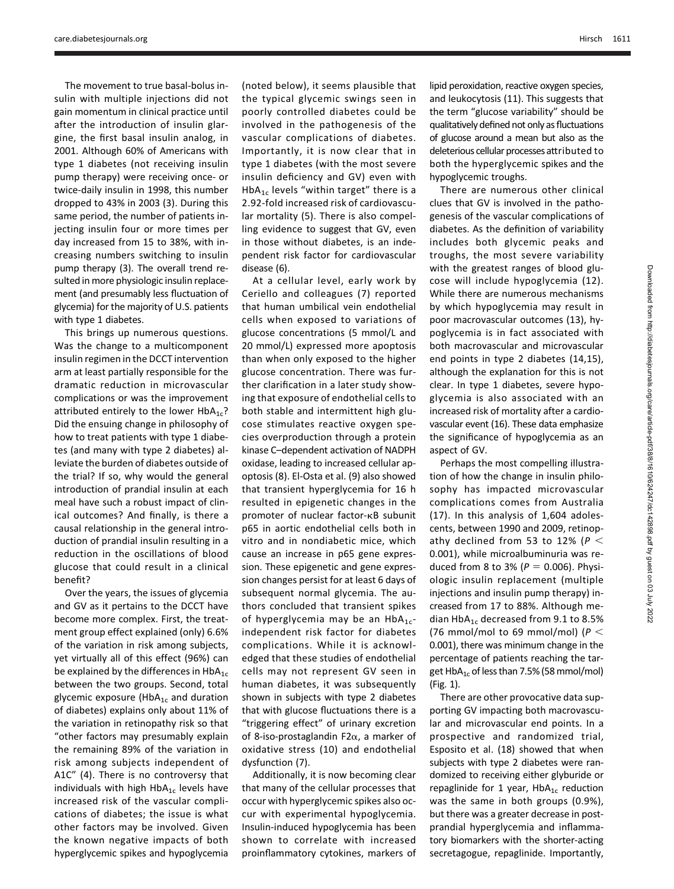The movement to true basal-bolus insulin with multiple injections did not gain momentum in clinical practice until after the introduction of insulin glargine, the first basal insulin analog, in 2001. Although 60% of Americans with type 1 diabetes (not receiving insulin pump therapy) were receiving once- or twice-daily insulin in 1998, this number dropped to 43% in 2003 (3). During this same period, the number of patients injecting insulin four or more times per day increased from 15 to 38%, with increasing numbers switching to insulin pump therapy (3). The overall trend resulted in more physiologic insulin replacement (and presumably less fluctuation of glycemia) for the majority of U.S. patients with type 1 diabetes.

This brings up numerous questions. Was the change to a multicomponent insulin regimen in the DCCT intervention arm at least partially responsible for the dramatic reduction in microvascular complications or was the improvement attributed entirely to the lower  $HbA_{1c}$ ? Did the ensuing change in philosophy of how to treat patients with type 1 diabetes (and many with type 2 diabetes) alleviate the burden of diabetes outside of the trial? If so, why would the general introduction of prandial insulin at each meal have such a robust impact of clinical outcomes? And finally, is there a causal relationship in the general introduction of prandial insulin resulting in a reduction in the oscillations of blood glucose that could result in a clinical benefit?

Over the years, the issues of glycemia and GV as it pertains to the DCCT have become more complex. First, the treatment group effect explained (only) 6.6% of the variation in risk among subjects, yet virtually all of this effect (96%) can be explained by the differences in  $HbA_{1c}$ between the two groups. Second, total glycemic exposure ( $HbA_{1c}$  and duration of diabetes) explains only about 11% of the variation in retinopathy risk so that "other factors may presumably explain the remaining 89% of the variation in risk among subjects independent of A1C" (4). There is no controversy that individuals with high  $HbA_{1c}$  levels have increased risk of the vascular complications of diabetes; the issue is what other factors may be involved. Given the known negative impacts of both hyperglycemic spikes and hypoglycemia

(noted below), it seems plausible that the typical glycemic swings seen in poorly controlled diabetes could be involved in the pathogenesis of the vascular complications of diabetes. Importantly, it is now clear that in type 1 diabetes (with the most severe insulin deficiency and GV) even with HbA<sub>1c</sub> levels "within target" there is a 2.92-fold increased risk of cardiovascular mortality (5). There is also compelling evidence to suggest that GV, even in those without diabetes, is an independent risk factor for cardiovascular disease (6).

At a cellular level, early work by Ceriello and colleagues (7) reported that human umbilical vein endothelial cells when exposed to variations of glucose concentrations (5 mmol/L and 20 mmol/L) expressed more apoptosis than when only exposed to the higher glucose concentration. There was further clarification in a later study showing that exposure of endothelial cells to both stable and intermittent high glucose stimulates reactive oxygen species overproduction through a protein kinase C–dependent activation of NADPH oxidase, leading to increased cellular apoptosis (8). El-Osta et al. (9) also showed that transient hyperglycemia for 16 h resulted in epigenetic changes in the promoter of nuclear factor-kB subunit p65 in aortic endothelial cells both in vitro and in nondiabetic mice, which cause an increase in p65 gene expression. These epigenetic and gene expression changes persist for at least 6 days of subsequent normal glycemia. The authors concluded that transient spikes of hyperglycemia may be an  $HbA_{1c}$ independent risk factor for diabetes complications. While it is acknowledged that these studies of endothelial cells may not represent GV seen in human diabetes, it was subsequently shown in subjects with type 2 diabetes that with glucose fluctuations there is a "triggering effect" of urinary excretion of 8-iso-prostaglandin F2 $\alpha$ , a marker of oxidative stress (10) and endothelial dysfunction (7).

Additionally, it is now becoming clear that many of the cellular processes that occur with hyperglycemic spikes also occur with experimental hypoglycemia. Insulin-induced hypoglycemia has been shown to correlate with increased proinflammatory cytokines, markers of lipid peroxidation, reactive oxygen species, and leukocytosis (11). This suggests that the term "glucose variability" should be qualitatively defined not only as fluctuations of glucose around a mean but also as the deleterious cellular processes attributed to both the hyperglycemic spikes and the hypoglycemic troughs.

There are numerous other clinical clues that GV is involved in the pathogenesis of the vascular complications of diabetes. As the definition of variability includes both glycemic peaks and troughs, the most severe variability with the greatest ranges of blood glucose will include hypoglycemia (12). While there are numerous mechanisms by which hypoglycemia may result in poor macrovascular outcomes (13), hypoglycemia is in fact associated with both macrovascular and microvascular end points in type 2 diabetes (14,15), although the explanation for this is not clear. In type 1 diabetes, severe hypoglycemia is also associated with an increased risk of mortality after a cardiovascular event (16). These data emphasize the significance of hypoglycemia as an aspect of GV.

Perhaps the most compelling illustration of how the change in insulin philosophy has impacted microvascular complications comes from Australia (17). In this analysis of 1,604 adolescents, between 1990 and 2009, retinopathy declined from 53 to 12% ( $P <$ 0.001), while microalbuminuria was reduced from 8 to 3% ( $P = 0.006$ ). Physiologic insulin replacement (multiple injections and insulin pump therapy) increased from 17 to 88%. Although median  $HbA_{1c}$  decreased from 9.1 to 8.5% (76 mmol/mol to 69 mmol/mol) ( $P <$ 0.001), there was minimum change in the percentage of patients reaching the target  $HbA_{1c}$  of less than 7.5% (58 mmol/mol) (Fig. 1).

There are other provocative data supporting GV impacting both macrovascular and microvascular end points. In a prospective and randomized trial, Esposito et al. (18) showed that when subjects with type 2 diabetes were randomized to receiving either glyburide or repaglinide for 1 year,  $HbA_{1c}$  reduction was the same in both groups (0.9%), but there was a greater decrease in postprandial hyperglycemia and inflammatory biomarkers with the shorter-acting secretagogue, repaglinide. Importantly,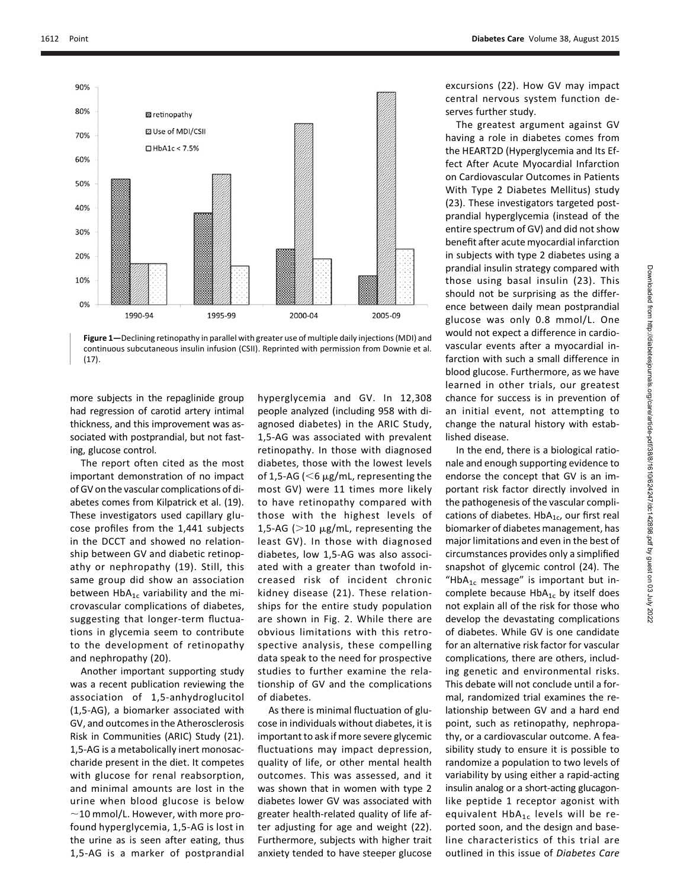

Figure 1—Declining retinopathy in parallel with greater use of multiple daily injections (MDI) and continuous subcutaneous insulin infusion (CSII). Reprinted with permission from Downie et al. (17).

more subjects in the repaglinide group had regression of carotid artery intimal thickness, and this improvement was associated with postprandial, but not fasting, glucose control.

The report often cited as the most important demonstration of no impact of GV on the vascular complications of diabetes comes from Kilpatrick et al. (19). These investigators used capillary glucose profiles from the 1,441 subjects in the DCCT and showed no relationship between GV and diabetic retinopathy or nephropathy (19). Still, this same group did show an association between  $HbA_{1c}$  variability and the microvascular complications of diabetes, suggesting that longer-term fluctuations in glycemia seem to contribute to the development of retinopathy and nephropathy (20).

Another important supporting study was a recent publication reviewing the association of 1,5-anhydroglucitol (1,5-AG), a biomarker associated with GV, and outcomes in the Atherosclerosis Risk in Communities (ARIC) Study (21). 1,5-AG is a metabolically inert monosaccharide present in the diet. It competes with glucose for renal reabsorption, and minimal amounts are lost in the urine when blood glucose is below  $\sim$ 10 mmol/L. However, with more profound hyperglycemia, 1,5-AG is lost in the urine as is seen after eating, thus 1,5-AG is a marker of postprandial

hyperglycemia and GV. In 12,308 people analyzed (including 958 with diagnosed diabetes) in the ARIC Study, 1,5-AG was associated with prevalent retinopathy. In those with diagnosed diabetes, those with the lowest levels of 1,5-AG ( $<$ 6  $\mu$ g/mL, representing the most GV) were 11 times more likely to have retinopathy compared with those with the highest levels of 1,5-AG ( $>$ 10  $\mu$ g/mL, representing the least GV). In those with diagnosed diabetes, low 1,5-AG was also associated with a greater than twofold increased risk of incident chronic kidney disease (21). These relationships for the entire study population are shown in Fig. 2. While there are obvious limitations with this retrospective analysis, these compelling data speak to the need for prospective studies to further examine the relationship of GV and the complications of diabetes.

As there is minimal fluctuation of glucose in individuals without diabetes, it is important to ask if more severe glycemic fluctuations may impact depression, quality of life, or other mental health outcomes. This was assessed, and it was shown that in women with type 2 diabetes lower GV was associated with greater health-related quality of life after adjusting for age and weight (22). Furthermore, subjects with higher trait anxiety tended to have steeper glucose excursions (22). How GV may impact central nervous system function deserves further study.

The greatest argument against GV having a role in diabetes comes from the HEART2D (Hyperglycemia and Its Effect After Acute Myocardial Infarction on Cardiovascular Outcomes in Patients With Type 2 Diabetes Mellitus) study (23). These investigators targeted postprandial hyperglycemia (instead of the entire spectrum of GV) and did not show benefit after acute myocardial infarction in subjects with type 2 diabetes using a prandial insulin strategy compared with those using basal insulin (23). This should not be surprising as the difference between daily mean postprandial glucose was only 0.8 mmol/L. One would not expect a difference in cardiovascular events after a myocardial infarction with such a small difference in blood glucose. Furthermore, as we have learned in other trials, our greatest chance for success is in prevention of an initial event, not attempting to change the natural history with established disease.

In the end, there is a biological rationale and enough supporting evidence to endorse the concept that GV is an important risk factor directly involved in the pathogenesis of the vascular complications of diabetes.  $HbA_{1c}$ , our first real biomarker of diabetes management, has major limitations and even in the best of circumstances provides only a simplified snapshot of glycemic control (24). The "Hb $A_{1c}$  message" is important but incomplete because  $HbA_{1c}$  by itself does not explain all of the risk for those who develop the devastating complications of diabetes. While GV is one candidate for an alternative risk factor for vascular complications, there are others, including genetic and environmental risks. This debate will not conclude until a formal, randomized trial examines the relationship between GV and a hard end point, such as retinopathy, nephropathy, or a cardiovascular outcome. A feasibility study to ensure it is possible to randomize a population to two levels of variability by using either a rapid-acting insulin analog or a short-acting glucagonlike peptide 1 receptor agonist with equivalent  $HbA_{1c}$  levels will be reported soon, and the design and baseline characteristics of this trial are outlined in this issue of Diabetes Care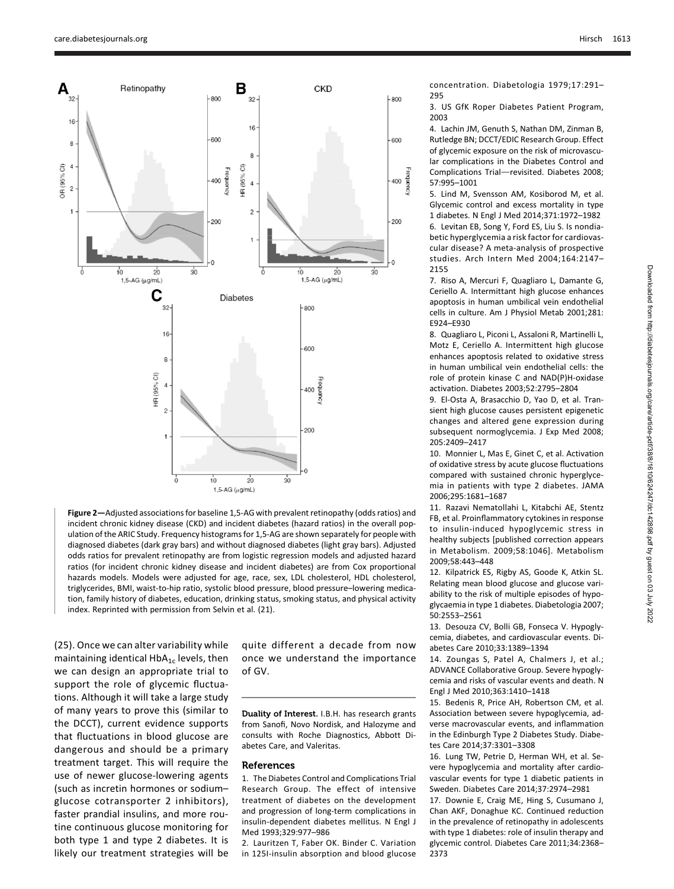

Figure 2—Adjusted associations for baseline 1,5-AG with prevalent retinopathy (odds ratios) and incident chronic kidney disease (CKD) and incident diabetes (hazard ratios) in the overall population of the ARIC Study. Frequency histograms for 1,5-AG are shown separately for people with diagnosed diabetes (dark gray bars) and without diagnosed diabetes (light gray bars). Adjusted odds ratios for prevalent retinopathy are from logistic regression models and adjusted hazard ratios (for incident chronic kidney disease and incident diabetes) are from Cox proportional hazards models. Models were adjusted for age, race, sex, LDL cholesterol, HDL cholesterol, triglycerides, BMI, waist-to-hip ratio, systolic blood pressure, blood pressure–lowering medication, family history of diabetes, education, drinking status, smoking status, and physical activity index. Reprinted with permission from Selvin et al. (21).

(25). Once we can alter variability while maintaining identical  $HbA_{1c}$  levels, then we can design an appropriate trial to support the role of glycemic fluctuations. Although it will take a large study of many years to prove this (similar to the DCCT), current evidence supports that fluctuations in blood glucose are dangerous and should be a primary treatment target. This will require the use of newer glucose-lowering agents (such as incretin hormones or sodium– glucose cotransporter 2 inhibitors), faster prandial insulins, and more routine continuous glucose monitoring for both type 1 and type 2 diabetes. It is likely our treatment strategies will be

quite different a decade from now once we understand the importance of GV.

Duality of Interest. I.B.H. has research grants from Sanofi, Novo Nordisk, and Halozyme and consults with Roche Diagnostics, Abbott Diabetes Care, and Valeritas.

## References

1. The Diabetes Control and Complications Trial Research Group. The effect of intensive treatment of diabetes on the development and progression of long-term complications in insulin-dependent diabetes mellitus. N Engl J Med 1993;329:977–986

2. Lauritzen T, Faber OK. Binder C. Variation in 125I-insulin absorption and blood glucose

concentration. Diabetologia 1979;17:291– 295

3. US GfK Roper Diabetes Patient Program, 2003

4. Lachin JM, Genuth S, Nathan DM, Zinman B, Rutledge BN; DCCT/EDIC Research Group. Effect of glycemic exposure on the risk of microvascular complications in the Diabetes Control and Complications Trial-revisited. Diabetes 2008; 57:995–1001

5. Lind M, Svensson AM, Kosiborod M, et al. Glycemic control and excess mortality in type 1 diabetes. N Engl J Med 2014;371:1972–1982 6. Levitan EB, Song Y, Ford ES, Liu S. Is nondiabetic hyperglycemia a risk factor for cardiovascular disease? A meta-analysis of prospective studies. Arch Intern Med 2004;164:2147– 2155

7. Riso A, Mercuri F, Quagliaro L, Damante G, Ceriello A. Intermittant high glucose enhances apoptosis in human umbilical vein endothelial cells in culture. Am J Physiol Metab 2001;281: E924–E930

8. Quagliaro L, Piconi L, Assaloni R, Martinelli L, Motz E, Ceriello A. Intermittent high glucose enhances apoptosis related to oxidative stress in human umbilical vein endothelial cells: the role of protein kinase C and NAD(P)H-oxidase activation. Diabetes 2003;52:2795–2804

9. El-Osta A, Brasacchio D, Yao D, et al. Transient high glucose causes persistent epigenetic changes and altered gene expression during subsequent normoglycemia. J Exp Med 2008; 205:2409–2417

10. Monnier L, Mas E, Ginet C, et al. Activation of oxidative stress by acute glucose fluctuations compared with sustained chronic hyperglycemia in patients with type 2 diabetes. JAMA 2006;295:1681–1687

11. Razavi Nematollahi L, Kitabchi AE, Stentz FB, et al. Proinflammatory cytokines in response to insulin-induced hypoglycemic stress in healthy subjects [published correction appears in Metabolism. 2009;58:1046]. Metabolism 2009;58:443–448

12. Kilpatrick ES, Rigby AS, Goode K, Atkin SL. Relating mean blood glucose and glucose variability to the risk of multiple episodes of hypoglycaemia in type 1 diabetes. Diabetologia 2007; 50:2553–2561

13. Desouza CV, Bolli GB, Fonseca V. Hypoglycemia, diabetes, and cardiovascular events. Diabetes Care 2010;33:1389–1394

14. Zoungas S, Patel A, Chalmers J, et al.; ADVANCE Collaborative Group. Severe hypoglycemia and risks of vascular events and death. N Engl J Med 2010;363:1410–1418

15. Bedenis R, Price AH, Robertson CM, et al. Association between severe hypoglycemia, adverse macrovascular events, and inflammation in the Edinburgh Type 2 Diabetes Study. Diabetes Care 2014;37:3301–3308

16. Lung TW, Petrie D, Herman WH, et al. Severe hypoglycemia and mortality after cardiovascular events for type 1 diabetic patients in Sweden. Diabetes Care 2014;37:2974–2981

17. Downie E, Craig ME, Hing S, Cusumano J, Chan AKF, Donaghue KC. Continued reduction in the prevalence of retinopathy in adolescents with type 1 diabetes: role of insulin therapy and glycemic control. Diabetes Care 2011;34:2368– 2373